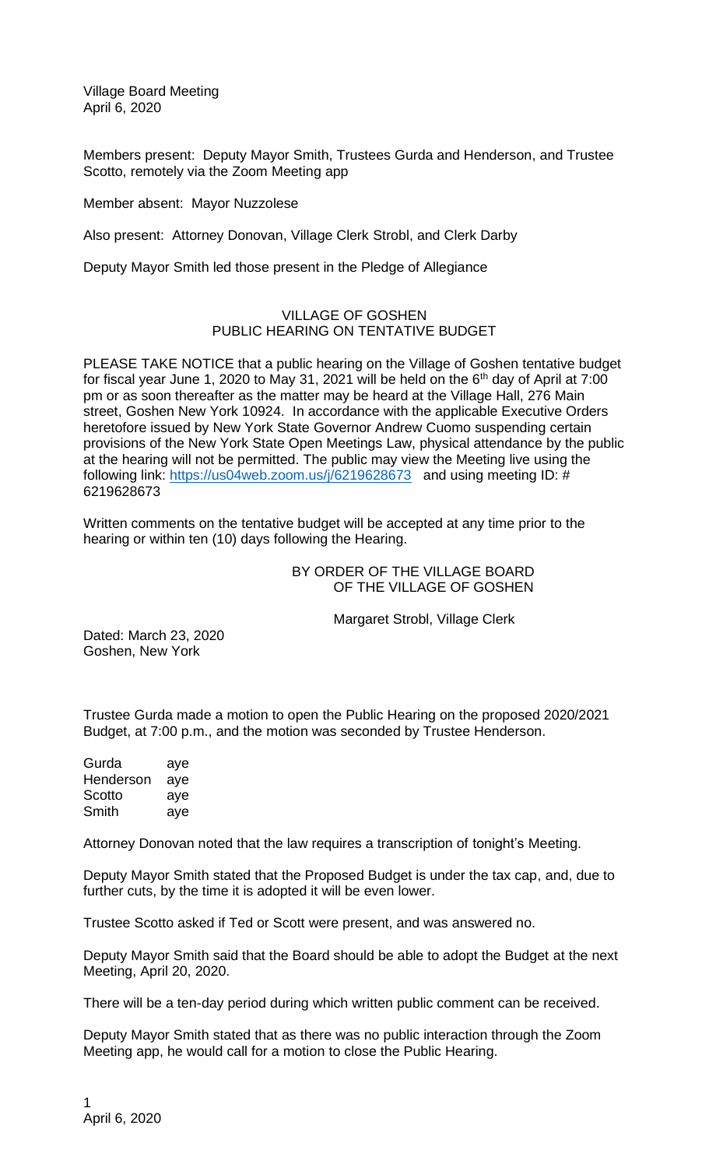Village Board Meeting April 6, 2020

Members present: Deputy Mayor Smith, Trustees Gurda and Henderson, and Trustee Scotto, remotely via the Zoom Meeting app

Member absent: Mayor Nuzzolese

Also present: Attorney Donovan, Village Clerk Strobl, and Clerk Darby

Deputy Mayor Smith led those present in the Pledge of Allegiance

## VILLAGE OF GOSHEN PUBLIC HEARING ON TENTATIVE BUDGET

PLEASE TAKE NOTICE that a public hearing on the Village of Goshen tentative budget for fiscal year June 1, 2020 to May 31, 2021 will be held on the 6th day of April at 7:00 pm or as soon thereafter as the matter may be heard at the Village Hall, 276 Main street, Goshen New York 10924. In accordance with the applicable Executive Orders heretofore issued by New York State Governor Andrew Cuomo suspending certain provisions of the New York State Open Meetings Law, physical attendance by the public at the hearing will not be permitted. The public may view the Meeting live using the following link:<https://us04web.zoom.us/j/6219628673>and using meeting ID: # 6219628673

Written comments on the tentative budget will be accepted at any time prior to the hearing or within ten (10) days following the Hearing.

> BY ORDER OF THE VILLAGE BOARD OF THE VILLAGE OF GOSHEN

> > Margaret Strobl, Village Clerk

Dated: March 23, 2020 Goshen, New York

Trustee Gurda made a motion to open the Public Hearing on the proposed 2020/2021 Budget, at 7:00 p.m., and the motion was seconded by Trustee Henderson.

Gurda aye Henderson aye Scotto aye Smith aye

Attorney Donovan noted that the law requires a transcription of tonight's Meeting.

Deputy Mayor Smith stated that the Proposed Budget is under the tax cap, and, due to further cuts, by the time it is adopted it will be even lower.

Trustee Scotto asked if Ted or Scott were present, and was answered no.

Deputy Mayor Smith said that the Board should be able to adopt the Budget at the next Meeting, April 20, 2020.

There will be a ten-day period during which written public comment can be received.

Deputy Mayor Smith stated that as there was no public interaction through the Zoom Meeting app, he would call for a motion to close the Public Hearing.